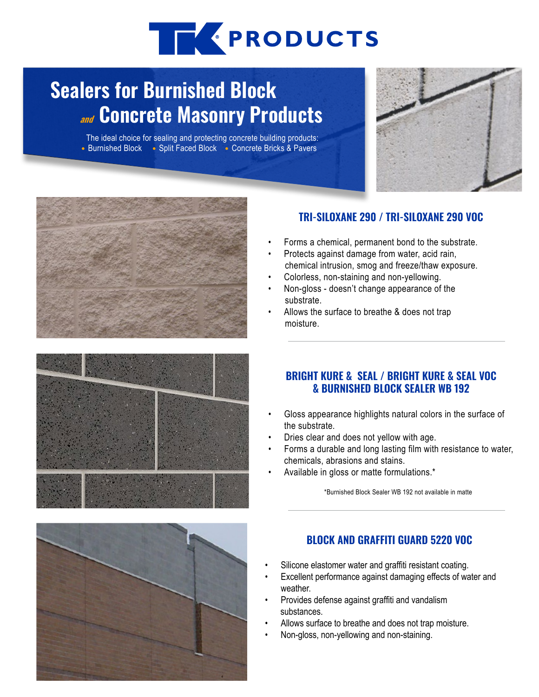# THE PRODUCTS

## **Sealers for Burnished Block and Concrete Masonry Products**

The ideal choice for sealing and protecting concrete building products: • Burnished Block • Split Faced Block • Concrete Bricks & Pavers







#### **TRI-SILOXANE 290 / TRI-SILOXANE 290 VOC**

- Forms a chemical, permanent bond to the substrate.
- Protects against damage from water, acid rain, chemical intrusion, smog and freeze/thaw exposure.
- Colorless, non-staining and non-yellowing.
- Non-gloss doesn't change appearance of the substrate.
- Allows the surface to breathe & does not trap moisture.

#### **BRIGHT KURE & SEAL / BRIGHT KURE & SEAL VOC & BURNISHED BLOCK SEALER WB 192**

- Gloss appearance highlights natural colors in the surface of the substrate.
- Dries clear and does not yellow with age.
- Forms a durable and long lasting film with resistance to water, chemicals, abrasions and stains.
- Available in gloss or matte formulations.\*

\*Burnished Block Sealer WB 192 not available in matte

#### **BLOCK AND GRAFFITI GUARD 5220 VOC**

- Silicone elastomer water and graffiti resistant coating.
- Excellent performance against damaging effects of water and weather.
- Provides defense against graffiti and vandalism substances.
- Allows surface to breathe and does not trap moisture.
- Non-gloss, non-yellowing and non-staining.